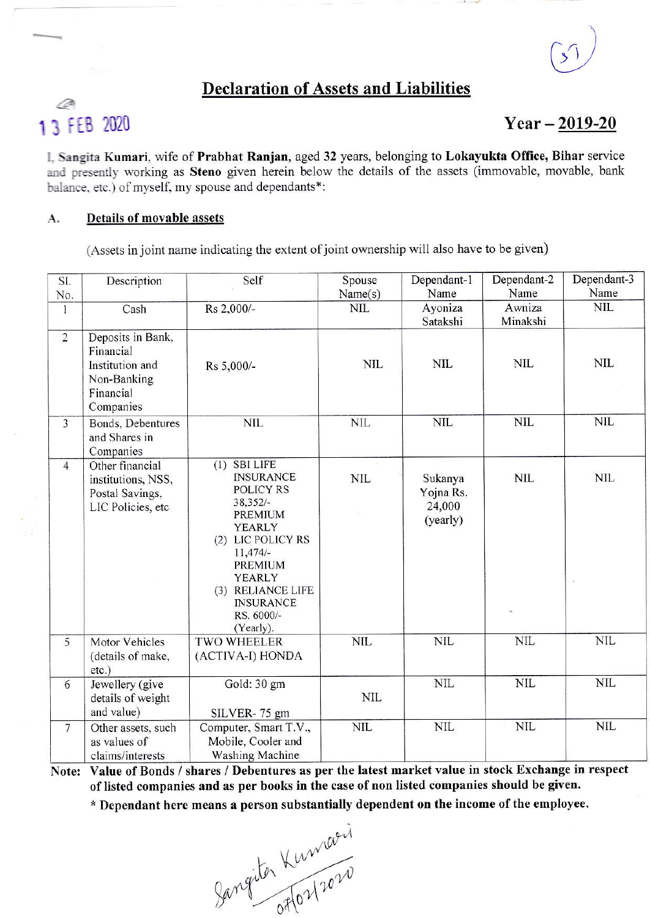## **Declaration of Assets and Liabilities**

# Ò 13 FEB 2020

### $Year - 2019 - 20$

I. Sangita Kumari, wife of Prabhat Ranjan, aged 32 years, belonging to Lokayukta Office, Bihar service and presently working as Steno given herein below the details of the assets (immovable, movable, bank balance, etc.) of myself, my spouse and dependants\*:

#### Details of movable assets A.

(Assets in joint name indicating the extent of joint ownership will also have to be given)

| SI.            | Description                                                                                | Self                                                                                                                                                                                                                         | Spouse       | Dependant-1                                | Dependant-2        | Dependant-3 |
|----------------|--------------------------------------------------------------------------------------------|------------------------------------------------------------------------------------------------------------------------------------------------------------------------------------------------------------------------------|--------------|--------------------------------------------|--------------------|-------------|
| No.            |                                                                                            |                                                                                                                                                                                                                              | Name(s)      | Name                                       | Name               | Name        |
| 1              | Cash                                                                                       | Rs 2,000/-                                                                                                                                                                                                                   | NIL          | Ayoniza<br>Satakshi                        | Awniza<br>Minakshi | <b>NIL</b>  |
| $\overline{2}$ | Deposits in Bank,<br>Financial<br>Institution and<br>Non-Banking<br>Financial<br>Companies | Rs 5,000/-                                                                                                                                                                                                                   | <b>NIL</b>   | NIL                                        | <b>NIL</b>         | <b>NIL</b>  |
| $\overline{3}$ | Bonds, Debentures<br>and Shares in<br>Companies                                            | <b>NIL</b>                                                                                                                                                                                                                   | $NIL$        | <b>NIL</b>                                 | <b>NIL</b>         | <b>NIL</b>  |
| $\overline{4}$ | Other financial<br>institutions, NSS,<br>Postal Savings,<br>LIC Policies, etc              | $(1)$ SBI LIFE<br><b>INSURANCE</b><br><b>POLICY RS</b><br>$38,352/-$<br>PREMIUM<br>YEARLY<br>(2) LIC POLICY RS<br>$11,474/-$<br><b>PREMIUM</b><br>YEARLY<br>(3) RELIANCE LIFE<br><b>INSURANCE</b><br>RS. 6000/-<br>(Yearly). | <b>NIL</b>   | Sukanya<br>Yojna Rs.<br>24,000<br>(yearly) | <b>NIL</b>         | <b>NIL</b>  |
| 5              | <b>Motor Vehicles</b><br>(details of make,<br>$etc.$ )                                     | <b>TWO WHEELER</b><br>(ACTIVA-I) HONDA                                                                                                                                                                                       | <b>NIL</b>   | <b>NIL</b>                                 | <b>NIL</b>         | <b>NIL</b>  |
| 6              | Jewellery (give<br>details of weight<br>and value)                                         | Gold: 30 gm<br>SILVER-75 gm                                                                                                                                                                                                  | <b>NIL</b>   | $NIL$                                      | <b>NIL</b>         | <b>NIL</b>  |
| $\overline{7}$ | Other assets, such<br>as values of<br>claims/interests                                     | Computer, Smart T.V.,<br>Mobile, Cooler and<br>Washing Machine                                                                                                                                                               | $\text{NIL}$ | $\text{NIL}$                               | <b>NIL</b>         | <b>NIL</b>  |

Note: Value of Bonds / shares / Debentures as per the latest market value in stock Exchange in respect of listed companies and as per books in the case of non listed companies should be given.

\* Dependant here means a person substantially dependent on the income of the employee.

Jangiter Kumaeri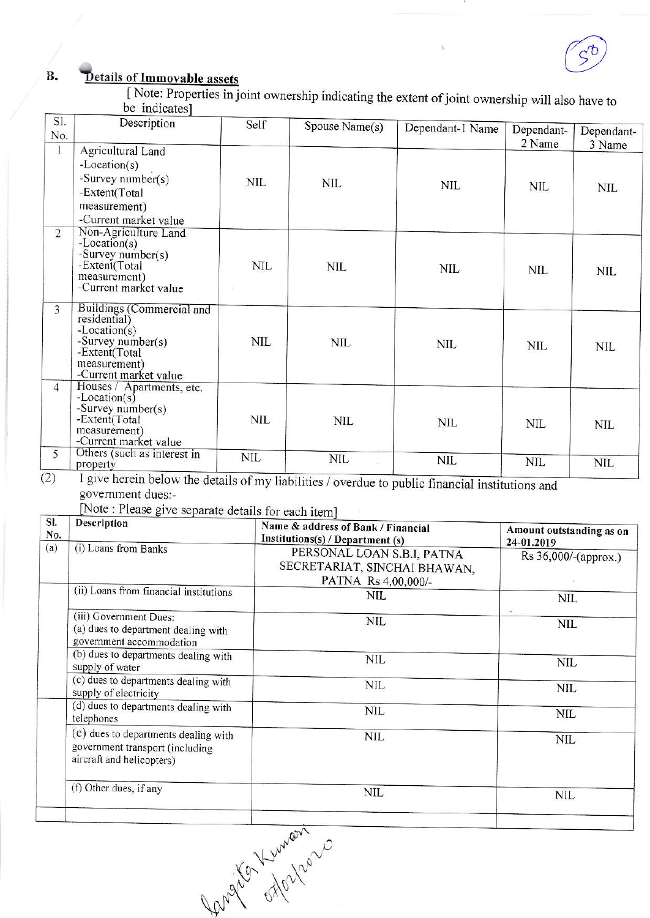### Details of Immovable assets **B.**

[Note: Properties in joint ownership indicating the extent of joint ownership will also have to be indicates]

| SI.<br>No.     | Description                                                                                                                                    | Self       | Spouse Name(s) | Dependant-1 Name | Dependant-           | Dependant-           |
|----------------|------------------------------------------------------------------------------------------------------------------------------------------------|------------|----------------|------------------|----------------------|----------------------|
| 1              | Agricultural Land<br>$-Location(s)$<br>-Survey number(s)<br>-Extent(Total<br>measurement)<br>-Current market value                             | NIL        | <b>NIL</b>     | <b>NIL</b>       | 2 Name<br><b>NIL</b> | 3 Name<br><b>NIL</b> |
| $\overline{2}$ | Non-Agriculture Land<br>$-Location(s)$<br>-Survey number(s)<br>-Extent(Total<br>measurement)<br>-Current market value                          | <b>NIL</b> | <b>NIL</b>     | <b>NIL</b>       | <b>NIL</b>           | <b>NIL</b>           |
| 3              | Buildings (Commercial and<br>residential)<br>$-Location(s)$<br>-Survey number( $s$ )<br>-Extent(Total<br>measurement)<br>-Current market value | NIL        | <b>NIL</b>     | NIL              | <b>NIL</b>           | <b>NIL</b>           |
| $\overline{4}$ | Houses / Apartments, etc.<br>$-Location(s)$<br>-Survey number( $s$ )<br>-Extent(Total<br>measurement)<br>-Current market value                 | NIL        | <b>NIL</b>     | <b>NIL</b>       | NIL                  | NIL                  |
| 5              | Others (such as interest in<br>property                                                                                                        | <b>NIL</b> | <b>NIL</b>     | <b>NIL</b>       | <b>NIL</b>           | <b>NIL</b>           |

government dues:-

[Note : Please give separate details for each item]

| SI.<br>No. | <b>Description</b>                                                                                   | Name & address of Bank / Financial<br>Institutions(s) / Department (s)            | Amount outstanding as on<br>24-01.2019 |
|------------|------------------------------------------------------------------------------------------------------|-----------------------------------------------------------------------------------|----------------------------------------|
| (a)        | (i) Loans from Banks                                                                                 | PERSONAL LOAN S.B.I, PATNA<br>SECRETARIAT, SINCHAI BHAWAN,<br>PATNA Rs 4,00,000/- | Rs 36,000/-(approx.)                   |
|            | (ii) Loans from financial institutions                                                               | <b>NIL</b>                                                                        | NIL                                    |
|            | (iii) Government Dues:<br>(a) dues to department dealing with<br>government accommodation            | <b>NIL</b>                                                                        | <b>NIL</b>                             |
|            | (b) dues to departments dealing with<br>supply of water                                              | <b>NIL</b>                                                                        | NIL                                    |
|            | (c) dues to departments dealing with<br>supply of electricity                                        | NIL                                                                               | <b>NIL</b>                             |
|            | (d) dues to departments dealing with<br>telephones                                                   | <b>NIL</b>                                                                        | NIL                                    |
|            | (e) dues to departments dealing with<br>government transport (including<br>aircraft and helicopters) | <b>NIL</b>                                                                        | <b>NIL</b>                             |
|            | (f) Other dues, if any                                                                               | NIL                                                                               | NIL                                    |
|            |                                                                                                      |                                                                                   |                                        |

Langua Lumania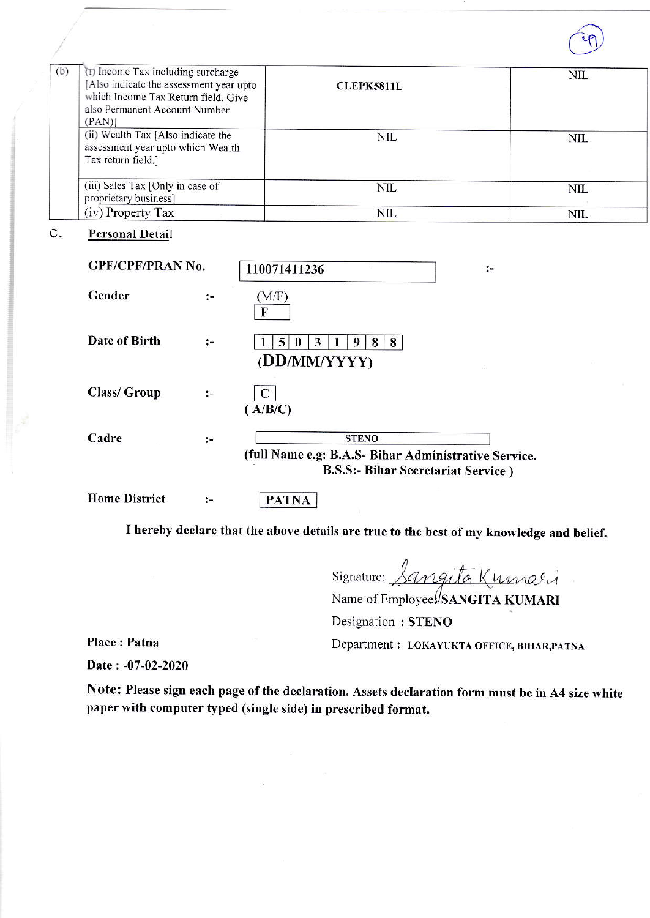

| (b) | (T) Income Tax including surcharge<br>[Also indicate the assessment year upto<br>which Income Tax Return field. Give<br>also Permanent Account Number<br>(PAN) | <b>CLEPK5811L</b> | <b>NIL</b> |
|-----|----------------------------------------------------------------------------------------------------------------------------------------------------------------|-------------------|------------|
|     | (ii) Wealth Tax [Also indicate the<br>assessment year upto which Wealth<br>Tax return field.]                                                                  | <b>NIL</b>        | NIL        |
|     | (iii) Sales Tax [Only in case of<br>proprietary business]                                                                                                      | NIL               | <b>NIL</b> |
|     | (iv) Property Tax                                                                                                                                              | NIL               | <b>NIL</b> |

### $\mathbf{C}$ . **Personal Detail**

| <b>GPF/CPF/PRAN No.</b> |    | 110071411236                                                                                                       | $:-$ |
|-------------------------|----|--------------------------------------------------------------------------------------------------------------------|------|
| Gender                  | ፦  | (M/F)<br>F                                                                                                         |      |
| Date of Birth           | :- | 5.<br>3<br>8<br>8<br>0<br>(DD/MM/YYYY)                                                                             |      |
| Class/ Group            | :- | ( A/B/C )                                                                                                          |      |
| Cadre                   | ÷  | <b>STENO</b><br>(full Name e.g: B.A.S- Bihar Administrative Service.<br><b>B.S.S:- Bihar Secretariat Service</b> ) |      |
| <b>Home District</b>    | ÷. | <b>PATNA</b>                                                                                                       |      |

I hereby declare that the above details are true to the best of my knowledge and belief.

Signature: Sangita Kumari

Name of Employee SANGITA KUMARI

Designation: STENO

Place: Patna

Department : LOKAYUKTA OFFICE, BIHAR, PATNA

Date: -07-02-2020

Note: Please sign each page of the declaration. Assets declaration form must be in A4 size white paper with computer typed (single side) in prescribed format.